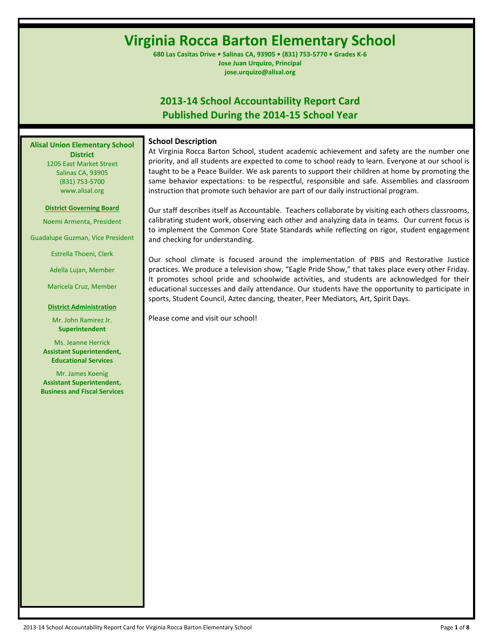# **Virginia Rocca Barton Elementary School**

**680 Las Casitas Drive • Salinas CA, 93905 • (831) 753-5770 • Grades K-6 Jose Juan Urquizo, Principal jose.urquizo@alisal.org**

## **2013-14 School Accountability Report Card Published During the 2014-15 School Year**

**Alisal Union Elementary School District** 1205 East Market Street Salinas CA, 93905 (831) 753-5700 www.alisal.org

#### **District Governing Board**

Noemi Armenta, President

Guadalupe Guzman, Vice President

Estrella Thoeni, Clerk

Adella Lujan, Member

Maricela Cruz, Member

#### **District Administration**

Mr. John Ramirez Jr. **Superintendent**

Ms. Jeanne Herrick **Assistant Superintendent, Educational Services**

Mr. James Koenig **Assistant Superintendent, Business and Fiscal Services** **School Description**

At Virginia Rocca Barton School, student academic achievement and safety are the number one priority, and all students are expected to come to school ready to learn. Everyone at our school is taught to be a Peace Builder. We ask parents to support their children at home by promoting the same behavior expectations: to be respectful, responsible and safe. Assemblies and classroom instruction that promote such behavior are part of our daily instructional program.

Our staff describes itself as Accountable. Teachers collaborate by visiting each others classrooms, calibrating student work, observing each other and analyzing data in teams. Our current focus is to implement the Common Core State Standards while reflecting on rigor, student engagement and checking for understanding.

Our school climate is focused around the implementation of PBIS and Restorative Justice practices. We produce a television show, "Eagle Pride Show," that takes place every other Friday. It promotes school pride and schoolwide activities, and students are acknowledged for their educational successes and daily attendance. Our students have the opportunity to participate in sports, Student Council, Aztec dancing, theater, Peer Mediators, Art, Spirit Days.

Please come and visit our school!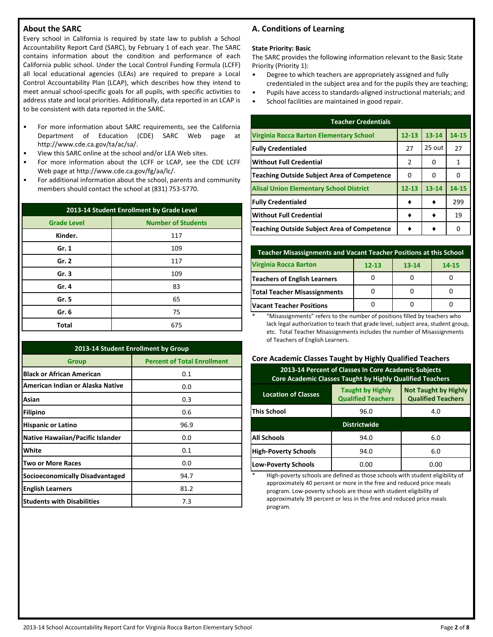## **About the SARC**

Every school in California is required by state law to publish a School Accountability Report Card (SARC), by February 1 of each year. The SARC contains information about the condition and performance of each California public school. Under the Local Control Funding Formula (LCFF) all local educational agencies (LEAs) are required to prepare a Local Control Accountability Plan (LCAP), which describes how they intend to meet annual school-specific goals for all pupils, with specific activities to address state and local priorities. Additionally, data reported in an LCAP is to be consistent with data reported in the SARC.

- For more information about SARC requirements, see the California Department of Education (CDE) SARC Web page at http://www.cde.ca.gov/ta/ac/sa/.
- View this SARC online at the school and/or LEA Web sites.
- For more information about the LCFF or LCAP, see the CDE LCFF Web page at http://www.cde.ca.gov/fg/aa/lc/.
- For additional information about the school, parents and community members should contact the school at (831) 753-5770.

| 2013-14 Student Enrollment by Grade Level       |     |  |  |  |  |
|-------------------------------------------------|-----|--|--|--|--|
| <b>Number of Students</b><br><b>Grade Level</b> |     |  |  |  |  |
| Kinder.                                         | 117 |  |  |  |  |
| Gr. 1                                           | 109 |  |  |  |  |
| Gr. 2                                           | 117 |  |  |  |  |
| Gr.3                                            | 109 |  |  |  |  |
| Gr. 4                                           | 83  |  |  |  |  |
| Gr. 5                                           | 65  |  |  |  |  |
| Gr. 6                                           | 75  |  |  |  |  |
| <b>Total</b>                                    | 675 |  |  |  |  |

| 2013-14 Student Enrollment by Group     |                                    |  |  |  |  |  |
|-----------------------------------------|------------------------------------|--|--|--|--|--|
| Group                                   | <b>Percent of Total Enrollment</b> |  |  |  |  |  |
| <b>Black or African American</b>        | 0.1                                |  |  |  |  |  |
| American Indian or Alaska Native        | 0.0                                |  |  |  |  |  |
| Asian                                   | 0.3                                |  |  |  |  |  |
| <b>Filipino</b>                         | 0.6                                |  |  |  |  |  |
| <b>Hispanic or Latino</b>               | 96.9                               |  |  |  |  |  |
| <b>Native Hawaiian/Pacific Islander</b> | 0.0                                |  |  |  |  |  |
| White                                   | 0.1                                |  |  |  |  |  |
| <b>Two or More Races</b>                | 0.0                                |  |  |  |  |  |
| <b>Socioeconomically Disadvantaged</b>  | 94.7                               |  |  |  |  |  |
| <b>English Learners</b>                 | 81.2                               |  |  |  |  |  |
| <b>Students with Disabilities</b>       | 7.3                                |  |  |  |  |  |

## **A. Conditions of Learning**

#### **State Priority: Basic**

The SARC provides the following information relevant to the Basic State Priority (Priority 1):

- Degree to which teachers are appropriately assigned and fully credentialed in the subject area and for the pupils they are teaching;
- Pupils have access to standards-aligned instructional materials; and
- School facilities are maintained in good repair.

| <b>Teacher Credentials</b>                         |           |           |       |  |  |  |  |  |
|----------------------------------------------------|-----------|-----------|-------|--|--|--|--|--|
| Virginia Rocca Barton Elementary School            | $12 - 13$ | $13 - 14$ | 14-15 |  |  |  |  |  |
| <b>Fully Credentialed</b>                          | 27        | 25 out    | 27    |  |  |  |  |  |
| Without Full Credential                            | 2         | 0         | 1     |  |  |  |  |  |
| <b>Teaching Outside Subject Area of Competence</b> | 0         | 0         |       |  |  |  |  |  |
| <b>Alisal Union Elementary School District</b>     | $12 - 13$ | $13 - 14$ | 14-15 |  |  |  |  |  |
| <b>Fully Credentialed</b>                          |           |           | 299   |  |  |  |  |  |
| Without Full Credential                            |           |           | 19    |  |  |  |  |  |
| Teaching Outside Subject Area of Competence        |           |           | O     |  |  |  |  |  |

| <b>Teacher Misassignments and Vacant Teacher Positions at this School</b> |  |  |  |  |  |  |  |
|---------------------------------------------------------------------------|--|--|--|--|--|--|--|
| <b>Virginia Rocca Barton</b><br>$12 - 13$<br>$13 - 14$<br>14-15           |  |  |  |  |  |  |  |
| <b>Teachers of English Learners</b>                                       |  |  |  |  |  |  |  |
| <b>Total Teacher Misassignments</b>                                       |  |  |  |  |  |  |  |
| <b>Vacant Teacher Positions</b>                                           |  |  |  |  |  |  |  |

\* "Misassignments" refers to the number of positions filled by teachers who lack legal authorization to teach that grade level, subject area, student group, etc. Total Teacher Misassignments includes the number of Misassignments of Teachers of English Learners.

### **Core Academic Classes Taught by Highly Qualified Teachers**

| 2013-14 Percent of Classes In Core Academic Subjects<br><b>Core Academic Classes Taught by Highly Qualified Teachers</b>                       |             |      |  |  |  |  |
|------------------------------------------------------------------------------------------------------------------------------------------------|-------------|------|--|--|--|--|
| <b>Not Taught by Highly</b><br><b>Taught by Highly</b><br><b>Location of Classes</b><br><b>Qualified Teachers</b><br><b>Qualified Teachers</b> |             |      |  |  |  |  |
| <b>This School</b><br>96.0<br>4.0                                                                                                              |             |      |  |  |  |  |
| <b>Districtwide</b>                                                                                                                            |             |      |  |  |  |  |
| <b>All Schools</b>                                                                                                                             | 94.0<br>6.0 |      |  |  |  |  |
| <b>High-Poverty Schools</b><br>6.0<br>94.0                                                                                                     |             |      |  |  |  |  |
| <b>Low-Poverty Schools</b>                                                                                                                     | 0.00        | 0.00 |  |  |  |  |

High-poverty schools are defined as those schools with student eligibility of approximately 40 percent or more in the free and reduced price meals program. Low-poverty schools are those with student eligibility of approximately 39 percent or less in the free and reduced price meals program.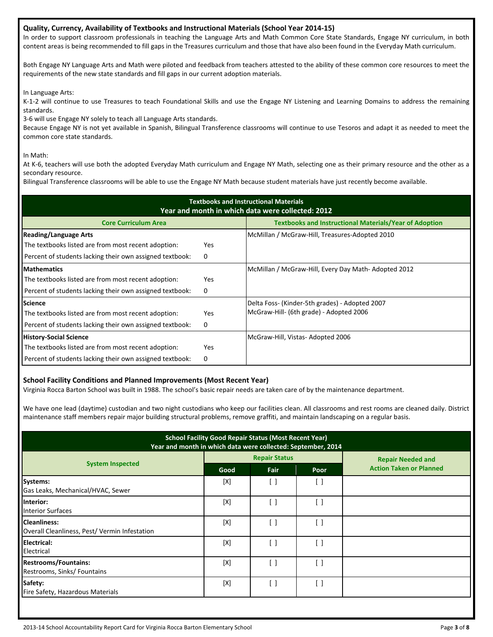## **Quality, Currency, Availability of Textbooks and Instructional Materials (School Year 2014-15)**

In order to support classroom professionals in teaching the Language Arts and Math Common Core State Standards, Engage NY curriculum, in both content areas is being recommended to fill gaps in the Treasures curriculum and those that have also been found in the Everyday Math curriculum.

Both Engage NY Language Arts and Math were piloted and feedback from teachers attested to the ability of these common core resources to meet the requirements of the new state standards and fill gaps in our current adoption materials.

In Language Arts:

K-1-2 will continue to use Treasures to teach Foundational Skills and use the Engage NY Listening and Learning Domains to address the remaining standards.

3-6 will use Engage NY solely to teach all Language Arts standards.

Because Engage NY is not yet available in Spanish, Bilingual Transference classrooms will continue to use Tesoros and adapt it as needed to meet the common core state standards.

In Math:

At K-6, teachers will use both the adopted Everyday Math curriculum and Engage NY Math, selecting one as their primary resource and the other as a secondary resource.

Bilingual Transference classrooms will be able to use the Engage NY Math because student materials have just recently become available.

| <b>Textbooks and Instructional Materials</b><br>Year and month in which data were collected: 2012 |            |                                                               |  |  |  |  |  |
|---------------------------------------------------------------------------------------------------|------------|---------------------------------------------------------------|--|--|--|--|--|
| <b>Core Curriculum Area</b>                                                                       |            | <b>Textbooks and Instructional Materials/Year of Adoption</b> |  |  |  |  |  |
| <b>Reading/Language Arts</b>                                                                      |            | McMillan / McGraw-Hill, Treasures-Adopted 2010                |  |  |  |  |  |
| The textbooks listed are from most recent adoption:                                               | <b>Yes</b> |                                                               |  |  |  |  |  |
| Percent of students lacking their own assigned textbook:                                          | 0          |                                                               |  |  |  |  |  |
| <b>Mathematics</b>                                                                                |            | McMillan / McGraw-Hill, Every Day Math-Adopted 2012           |  |  |  |  |  |
| The textbooks listed are from most recent adoption:                                               | <b>Yes</b> |                                                               |  |  |  |  |  |
| Percent of students lacking their own assigned textbook:                                          | 0          |                                                               |  |  |  |  |  |
| <b>Science</b>                                                                                    |            | Delta Foss- (Kinder-5th grades) - Adopted 2007                |  |  |  |  |  |
| The textbooks listed are from most recent adoption:                                               | <b>Yes</b> | McGraw-Hill- (6th grade) - Adopted 2006                       |  |  |  |  |  |
| Percent of students lacking their own assigned textbook:                                          | 0          |                                                               |  |  |  |  |  |
| <b>History-Social Science</b>                                                                     |            | McGraw-Hill, Vistas-Adopted 2006                              |  |  |  |  |  |
| The textbooks listed are from most recent adoption:                                               | <b>Yes</b> |                                                               |  |  |  |  |  |
| Percent of students lacking their own assigned textbook:                                          | 0          |                                                               |  |  |  |  |  |

## **School Facility Conditions and Planned Improvements (Most Recent Year)**

Virginia Rocca Barton School was built in 1988. The school's basic repair needs are taken care of by the maintenance department.

We have one lead (daytime) custodian and two night custodians who keep our facilities clean. All classrooms and rest rooms are cleaned daily. District maintenance staff members repair major building structural problems, remove graffiti, and maintain landscaping on a regular basis.

| <b>School Facility Good Repair Status (Most Recent Year)</b><br>Year and month in which data were collected: September, 2014 |      |                      |      |                                |  |  |
|------------------------------------------------------------------------------------------------------------------------------|------|----------------------|------|--------------------------------|--|--|
|                                                                                                                              |      | <b>Repair Status</b> |      | <b>Repair Needed and</b>       |  |  |
| <b>System Inspected</b>                                                                                                      | Good | Fair                 | Poor | <b>Action Taken or Planned</b> |  |  |
| Systems:<br>Gas Leaks, Mechanical/HVAC, Sewer                                                                                | [X]  | [ ]                  | [ ]  |                                |  |  |
| Interior:<br><b>Interior Surfaces</b>                                                                                        | [X]  |                      | [ ]  |                                |  |  |
| <b>Cleanliness:</b><br>Overall Cleanliness, Pest/ Vermin Infestation                                                         | [X]  | []                   | [ ]  |                                |  |  |
| Electrical:<br>Electrical                                                                                                    | [X]  | ו '                  | Ħ    |                                |  |  |
| <b>Restrooms/Fountains:</b><br>Restrooms, Sinks/ Fountains                                                                   | [X]  | [ ]                  | [ ]  |                                |  |  |
| Safety:<br>Fire Safety, Hazardous Materials                                                                                  | [X]  | ן ו                  | ן ו  |                                |  |  |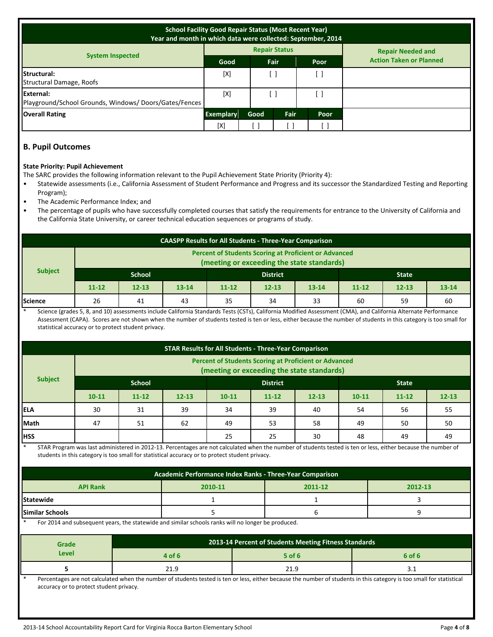| <b>School Facility Good Repair Status (Most Recent Year)</b><br>Year and month in which data were collected: September, 2014 |                  |              |                      |    |                                |  |
|------------------------------------------------------------------------------------------------------------------------------|------------------|--------------|----------------------|----|--------------------------------|--|
|                                                                                                                              |                  |              | <b>Repair Status</b> |    | <b>Repair Needed and</b>       |  |
| <b>System Inspected</b>                                                                                                      | Good             | Fair<br>Poor |                      |    | <b>Action Taken or Planned</b> |  |
| Structural:<br>Structural Damage, Roofs                                                                                      | [X]              |              |                      |    |                                |  |
| External:<br>Playground/School Grounds, Windows/Doors/Gates/Fences                                                           | [X]              |              |                      |    |                                |  |
| <b>Overall Rating</b>                                                                                                        | <b>Exemplary</b> | Good         | Fair<br>Poor         |    |                                |  |
|                                                                                                                              | [X]              |              |                      | L. |                                |  |

## **B. Pupil Outcomes**

### **State Priority: Pupil Achievement**

The SARC provides the following information relevant to the Pupil Achievement State Priority (Priority 4):

- Statewide assessments (i.e., California Assessment of Student Performance and Progress and its successor the Standardized Testing and Reporting Program);
- The Academic Performance Index; and
- The percentage of pupils who have successfully completed courses that satisfy the requirements for entrance to the University of California and the California State University, or career technical education sequences or programs of study.

| <b>CAASPP Results for All Students - Three-Year Comparison</b>                                             |                           |           |           |           |           |              |           |           |           |
|------------------------------------------------------------------------------------------------------------|---------------------------|-----------|-----------|-----------|-----------|--------------|-----------|-----------|-----------|
| <b>Percent of Students Scoring at Proficient or Advanced</b><br>(meeting or exceeding the state standards) |                           |           |           |           |           |              |           |           |           |
| <b>Subject</b>                                                                                             | School<br><b>District</b> |           |           |           |           | <b>State</b> |           |           |           |
|                                                                                                            | $11 - 12$                 | $12 - 13$ | $13 - 14$ | $11 - 12$ | $12 - 13$ | $13 - 14$    | $11 - 12$ | $12 - 13$ | $13 - 14$ |
| Science                                                                                                    | 26                        | 41        | 43        | 35        | 34        | 33           | 60        | 59        | 60        |

Science (grades 5, 8, and 10) assessments include California Standards Tests (CSTs), California Modified Assessment (CMA), and California Alternate Performance Assessment (CAPA). Scores are not shown when the number of students tested is ten or less, either because the number of students in this category is too small for statistical accuracy or to protect student privacy.

| <b>STAR Results for All Students - Three-Year Comparison</b>                                               |           |                                  |           |           |                        |    |    |              |           |
|------------------------------------------------------------------------------------------------------------|-----------|----------------------------------|-----------|-----------|------------------------|----|----|--------------|-----------|
| <b>Percent of Students Scoring at Proficient or Advanced</b><br>(meeting or exceeding the state standards) |           |                                  |           |           |                        |    |    |              |           |
| <b>Subject</b>                                                                                             |           | <b>School</b><br><b>District</b> |           |           |                        |    |    | <b>State</b> |           |
|                                                                                                            | $10 - 11$ | $11 - 12$                        | $12 - 13$ | $10 - 11$ | $12 - 13$<br>$11 - 12$ |    |    | $11 - 12$    | $12 - 13$ |
| <b>IELA</b>                                                                                                | 30        | 31                               | 39        | 34        | 39                     | 40 | 54 | 56           | 55        |
| Math                                                                                                       | 47        | 51                               | 62        | 49        | 53                     | 58 | 49 | 50           | 50        |
| <b>HSS</b>                                                                                                 |           |                                  |           | 25        | 25                     | 30 | 48 | 49           | 49        |

STAR Program was last administered in 2012-13. Percentages are not calculated when the number of students tested is ten or less, either because the number of students in this category is too small for statistical accuracy or to protect student privacy.

| Academic Performance Index Ranks - Three-Year Comparison |  |  |  |  |  |  |
|----------------------------------------------------------|--|--|--|--|--|--|
| <b>API Rank</b><br>2012-13<br>2010-11<br>2011-12         |  |  |  |  |  |  |
| Statewide                                                |  |  |  |  |  |  |
| <b>Similar Schools</b>                                   |  |  |  |  |  |  |

For 2014 and subsequent years, the statewide and similar schools ranks will no longer be produced.

| Grade | 2013-14 Percent of Students Meeting Fitness Standards |          |        |  |  |
|-------|-------------------------------------------------------|----------|--------|--|--|
| Level | 4 of 6                                                | $5$ of 6 | 6 of 6 |  |  |
|       | <b>21 L</b><br>21.3                                   | 21.9     | ے . ۔  |  |  |

Percentages are not calculated when the number of students tested is ten or less, either because the number of students in this category is too small for statistical accuracy or to protect student privacy.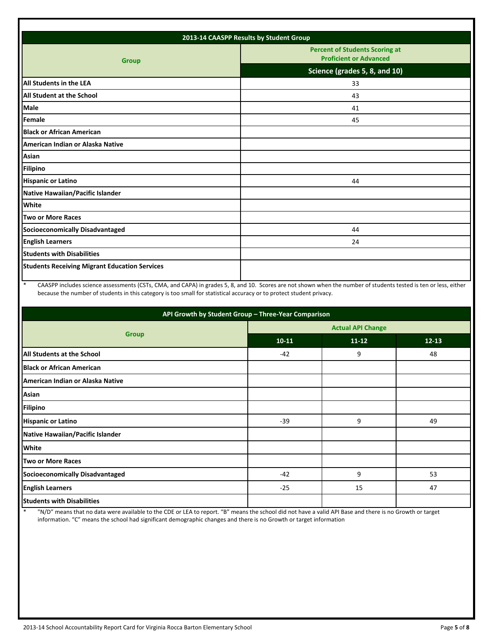| 2013-14 CAASPP Results by Student Group              |                                                                        |  |  |  |
|------------------------------------------------------|------------------------------------------------------------------------|--|--|--|
| <b>Group</b>                                         | <b>Percent of Students Scoring at</b><br><b>Proficient or Advanced</b> |  |  |  |
|                                                      | Science (grades 5, 8, and 10)                                          |  |  |  |
| <b>All Students in the LEA</b>                       | 33                                                                     |  |  |  |
| <b>All Student at the School</b>                     | 43                                                                     |  |  |  |
| <b>Male</b>                                          | 41                                                                     |  |  |  |
| Female                                               | 45                                                                     |  |  |  |
| <b>Black or African American</b>                     |                                                                        |  |  |  |
| American Indian or Alaska Native                     |                                                                        |  |  |  |
| Asian                                                |                                                                        |  |  |  |
| <b>Filipino</b>                                      |                                                                        |  |  |  |
| <b>Hispanic or Latino</b>                            | 44                                                                     |  |  |  |
| Native Hawaiian/Pacific Islander                     |                                                                        |  |  |  |
| White                                                |                                                                        |  |  |  |
| <b>Two or More Races</b>                             |                                                                        |  |  |  |
| <b>Socioeconomically Disadvantaged</b>               | 44                                                                     |  |  |  |
| <b>English Learners</b>                              | 24                                                                     |  |  |  |
| <b>Students with Disabilities</b>                    |                                                                        |  |  |  |
| <b>Students Receiving Migrant Education Services</b> |                                                                        |  |  |  |

\* CAASPP includes science assessments (CSTs, CMA, and CAPA) in grades 5, 8, and 10. Scores are not shown when the number of students tested is ten or less, either because the number of students in this category is too small for statistical accuracy or to protect student privacy.

| API Growth by Student Group - Three-Year Comparison |                          |           |           |  |  |  |
|-----------------------------------------------------|--------------------------|-----------|-----------|--|--|--|
|                                                     | <b>Actual API Change</b> |           |           |  |  |  |
| <b>Group</b>                                        | $10 - 11$                | $11 - 12$ | $12 - 13$ |  |  |  |
| All Students at the School                          | $-42$                    | 9         | 48        |  |  |  |
| <b>Black or African American</b>                    |                          |           |           |  |  |  |
| American Indian or Alaska Native                    |                          |           |           |  |  |  |
| Asian                                               |                          |           |           |  |  |  |
| <b>Filipino</b>                                     |                          |           |           |  |  |  |
| <b>Hispanic or Latino</b>                           | $-39$                    | 9         | 49        |  |  |  |
| Native Hawaiian/Pacific Islander                    |                          |           |           |  |  |  |
| <b>White</b>                                        |                          |           |           |  |  |  |
| <b>Two or More Races</b>                            |                          |           |           |  |  |  |
| Socioeconomically Disadvantaged                     | $-42$                    | 9         | 53        |  |  |  |
| <b>English Learners</b>                             | $-25$                    | 15        | 47        |  |  |  |
| <b>Students with Disabilities</b>                   |                          |           |           |  |  |  |

\* "N/D" means that no data were available to the CDE or LEA to report. "B" means the school did not have a valid API Base and there is no Growth or target information. "C" means the school had significant demographic changes and there is no Growth or target information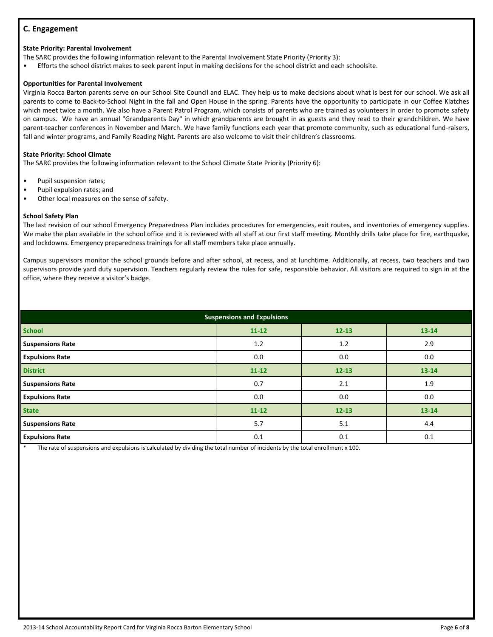## **C. Engagement**

#### **State Priority: Parental Involvement**

The SARC provides the following information relevant to the Parental Involvement State Priority (Priority 3):

• Efforts the school district makes to seek parent input in making decisions for the school district and each schoolsite.

#### **Opportunities for Parental Involvement**

Virginia Rocca Barton parents serve on our School Site Council and ELAC. They help us to make decisions about what is best for our school. We ask all parents to come to Back-to-School Night in the fall and Open House in the spring. Parents have the opportunity to participate in our Coffee Klatches which meet twice a month. We also have a Parent Patrol Program, which consists of parents who are trained as volunteers in order to promote safety on campus. We have an annual "Grandparents Day" in which grandparents are brought in as guests and they read to their grandchildren. We have parent-teacher conferences in November and March. We have family functions each year that promote community, such as educational fund-raisers, fall and winter programs, and Family Reading Night. Parents are also welcome to visit their children's classrooms.

#### **State Priority: School Climate**

The SARC provides the following information relevant to the School Climate State Priority (Priority 6):

- Pupil suspension rates;
- Pupil expulsion rates; and
- Other local measures on the sense of safety.

#### **School Safety Plan**

The last revision of our school Emergency Preparedness Plan includes procedures for emergencies, exit routes, and inventories of emergency supplies. We make the plan available in the school office and it is reviewed with all staff at our first staff meeting. Monthly drills take place for fire, earthquake, and lockdowns. Emergency preparedness trainings for all staff members take place annually.

Campus supervisors monitor the school grounds before and after school, at recess, and at lunchtime. Additionally, at recess, two teachers and two supervisors provide yard duty supervision. Teachers regularly review the rules for safe, responsible behavior. All visitors are required to sign in at the office, where they receive a visitor's badge.

| <b>Suspensions and Expulsions</b> |           |           |           |  |  |  |
|-----------------------------------|-----------|-----------|-----------|--|--|--|
| <b>School</b>                     | $11 - 12$ | $12 - 13$ | $13 - 14$ |  |  |  |
| <b>Suspensions Rate</b>           | 1.2       | 1.2       | 2.9       |  |  |  |
| <b>Expulsions Rate</b>            | 0.0       | 0.0       | 0.0       |  |  |  |
| <b>District</b>                   | $11 - 12$ | $12 - 13$ | $13 - 14$ |  |  |  |
| <b>Suspensions Rate</b>           | 0.7       | 2.1       | 1.9       |  |  |  |
| <b>Expulsions Rate</b>            | 0.0       | 0.0       | 0.0       |  |  |  |
| <b>State</b>                      | $11 - 12$ | $12 - 13$ | 13-14     |  |  |  |
| <b>Suspensions Rate</b>           | 5.7       | 5.1       | 4.4       |  |  |  |
| <b>Expulsions Rate</b>            | 0.1       | 0.1       | 0.1       |  |  |  |

The rate of suspensions and expulsions is calculated by dividing the total number of incidents by the total enrollment x 100.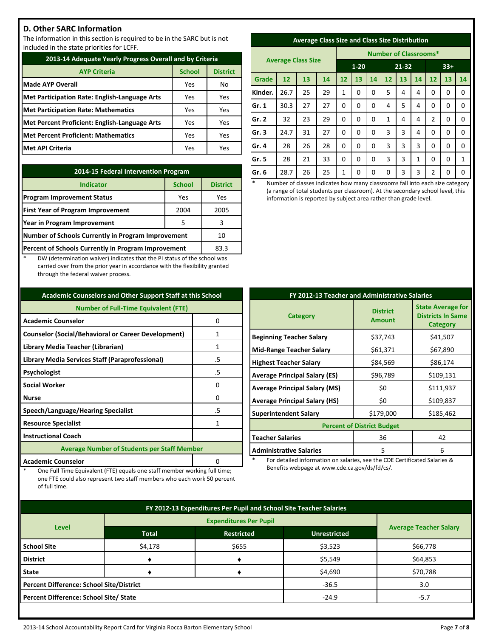## **D. Other SARC Information**

The information in this section is required to be in the SARC but is not included in the state priorities for LCFF.

| 2013-14 Adequate Yearly Progress Overall and by Criteria |               |                 |  |  |
|----------------------------------------------------------|---------------|-----------------|--|--|
| <b>AYP Criteria</b>                                      | <b>School</b> | <b>District</b> |  |  |
| <b>Made AYP Overall</b>                                  | Yes           | No              |  |  |
| Met Participation Rate: English-Language Arts            | Yes           | Yes             |  |  |
| <b>Met Participation Rate: Mathematics</b>               | Yes           | Yes             |  |  |
| Met Percent Proficient: English-Language Arts            | Yes           | Yes             |  |  |
| <b>Met Percent Proficient: Mathematics</b>               | Yes           | Yes             |  |  |
| Met API Criteria                                         | Yes           | Yes             |  |  |

| 2014-15 Federal Intervention Program                |                 |      |  |  |
|-----------------------------------------------------|-----------------|------|--|--|
| <b>Indicator</b>                                    | <b>District</b> |      |  |  |
| <b>Program Improvement Status</b>                   | Yes             | Yes  |  |  |
| <b>First Year of Program Improvement</b>            | 2004            | 2005 |  |  |
| Year in Program Improvement                         | 3               |      |  |  |
| Number of Schools Currently in Program Improvement  | 10              |      |  |  |
| Percent of Schools Currently in Program Improvement | 83.3            |      |  |  |

DW (determination waiver) indicates that the PI status of the school was carried over from the prior year in accordance with the flexibility granted through the federal waiver process.

| <b>Academic Counselors and Other Support Staff at this School</b> |    |  |  |  |
|-------------------------------------------------------------------|----|--|--|--|
| <b>Number of Full-Time Equivalent (FTE)</b>                       |    |  |  |  |
| <b>Academic Counselor</b><br>0                                    |    |  |  |  |
| <b>Counselor (Social/Behavioral or Career Development)</b>        | 1  |  |  |  |
| Library Media Teacher (Librarian)                                 | 1  |  |  |  |
| Library Media Services Staff (Paraprofessional)                   | .5 |  |  |  |
| Psychologist                                                      | .5 |  |  |  |
| <b>Social Worker</b>                                              | 0  |  |  |  |
| <b>Nurse</b>                                                      | n  |  |  |  |
| Speech/Language/Hearing Specialist                                | .5 |  |  |  |
| <b>Resource Specialist</b>                                        |    |  |  |  |
| <b>Instructional Coach</b>                                        |    |  |  |  |
| <b>Average Number of Students per Staff Member</b>                |    |  |  |  |
| <b>Academic Counselor</b>                                         |    |  |  |  |

One Full Time Equivalent (FTE) equals one staff member working full time; one FTE could also represent two staff members who each work 50 percent

of full time.

| <b>Average Class Size and Class Size Distribution</b> |  |  |
|-------------------------------------------------------|--|--|
|                                                       |  |  |

|         |                           |    |    | <b>Number of Classrooms*</b> |          |       |              |    |       |                |    |             |
|---------|---------------------------|----|----|------------------------------|----------|-------|--------------|----|-------|----------------|----|-------------|
|         | <b>Average Class Size</b> |    |    | $1 - 20$                     |          | 21-32 |              |    | $33+$ |                |    |             |
| Grade   | 12                        | 13 | 14 | 12                           | 13       | 14    | 12           | 13 | 14    | 12             | 13 | 14          |
| Kinder. | 26.7                      | 25 | 29 | 1                            | 0        | 0     | 5            | 4  | 4     | 0              | 0  | 0           |
| Gr. 1   | 30.3                      | 27 | 27 | 0                            | 0        | 0     | 4            | 5  | 4     | 0              | 0  | $\Omega$    |
| Gr. 2   | 32                        | 23 | 29 | 0                            | 0        | 0     | $\mathbf{1}$ | 4  | 4     | $\overline{2}$ | 0  | $\mathbf 0$ |
| Gr. 3   | 24.7                      | 31 | 27 | 0                            | $\Omega$ | 0     | 3            | 3  | 4     | $\Omega$       | 0  | 0           |
| Gr. 4   | 28                        | 26 | 28 | 0                            | 0        | 0     | 3            | 3  | 3     | 0              | 0  | 0           |
| Gr. 5   | 28                        | 21 | 33 | 0                            | 0        | 0     | 3            | 3  | 1     | 0              | 0  | 1           |
| Gr. 6   | 28.7                      | 26 | 25 | 1                            | 0        | 0     | 0            | 3  | 3     | $\overline{2}$ | 0  | 0           |

Number of classes indicates how many classrooms fall into each size category (a range of total students per classroom). At the secondary school level, this information is reported by subject area rather than grade level.

| FY 2012-13 Teacher and Administrative Salaries |                                   |                                                                  |  |  |  |
|------------------------------------------------|-----------------------------------|------------------------------------------------------------------|--|--|--|
| <b>Category</b>                                | <b>District</b><br><b>Amount</b>  | <b>State Average for</b><br><b>Districts In Same</b><br>Category |  |  |  |
| <b>Beginning Teacher Salary</b>                | \$37,743                          | \$41,507                                                         |  |  |  |
| <b>Mid-Range Teacher Salary</b>                | \$61,371                          | \$67,890                                                         |  |  |  |
| <b>Highest Teacher Salary</b>                  | \$84,569                          | \$86,174                                                         |  |  |  |
| <b>Average Principal Salary (ES)</b>           | \$96,789                          | \$109,131                                                        |  |  |  |
| <b>Average Principal Salary (MS)</b>           | \$0                               | \$111,937                                                        |  |  |  |
| <b>Average Principal Salary (HS)</b>           | \$0                               | \$109,837                                                        |  |  |  |
| <b>Superintendent Salary</b>                   | \$179,000                         | \$185,462                                                        |  |  |  |
|                                                | <b>Percent of District Budget</b> |                                                                  |  |  |  |
| <b>Teacher Salaries</b>                        | 36                                | 42                                                               |  |  |  |
| <b>Administrative Salaries</b>                 | 5                                 | 6                                                                |  |  |  |

For detailed information on salaries, see the CDE Certificated Salaries & Benefits webpage at www.cde.ca.gov/ds/fd/cs/.

| FY 2012-13 Expenditures Per Pupil and School Site Teacher Salaries |                                                          |         |         |          |  |
|--------------------------------------------------------------------|----------------------------------------------------------|---------|---------|----------|--|
|                                                                    | <b>Average Teacher Salary</b>                            |         |         |          |  |
| <b>Level</b>                                                       | <b>Total</b><br><b>Restricted</b><br><b>Unrestricted</b> |         |         |          |  |
| <b>School Site</b>                                                 | \$4,178                                                  | \$655   | \$3,523 | \$66,778 |  |
| <b>District</b>                                                    |                                                          |         | \$5,549 | \$64,853 |  |
| <b>State</b>                                                       |                                                          |         | \$4,690 | \$70,788 |  |
| <b>Percent Difference: School Site/District</b>                    |                                                          | $-36.5$ | 3.0     |          |  |
| Percent Difference: School Site/ State                             |                                                          |         | $-24.9$ | $-5.7$   |  |